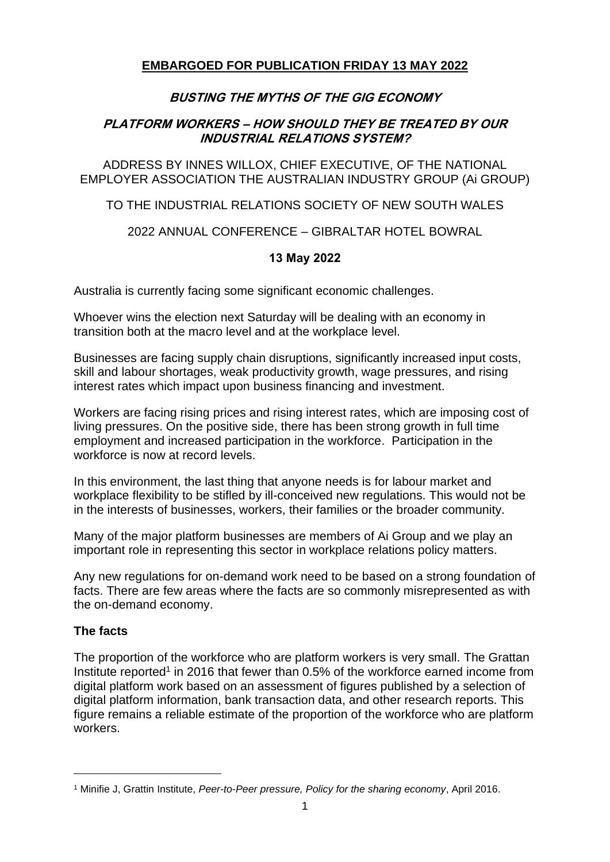## **EMBARGOED FOR PUBLICATION FRIDAY 13 MAY 2022**

# **BUSTING THE MYTHS OF THE GIG ECONOMY**

## **PLATFORM WORKERS – HOW SHOULD THEY BE TREATED BY OUR INDUSTRIAL RELATIONS SYSTEM?**

ADDRESS BY INNES WILLOX, CHIEF EXECUTIVE, OF THE NATIONAL EMPLOYER ASSOCIATION THE AUSTRALIAN INDUSTRY GROUP (Ai GROUP)

## TO THE INDUSTRIAL RELATIONS SOCIETY OF NEW SOUTH WALES

## 2022 ANNUAL CONFERENCE – GIBRALTAR HOTEL BOWRAL

## **13 May 2022**

Australia is currently facing some significant economic challenges.

Whoever wins the election next Saturday will be dealing with an economy in transition both at the macro level and at the workplace level.

Businesses are facing supply chain disruptions, significantly increased input costs, skill and labour shortages, weak productivity growth, wage pressures, and rising interest rates which impact upon business financing and investment.

Workers are facing rising prices and rising interest rates, which are imposing cost of living pressures. On the positive side, there has been strong growth in full time employment and increased participation in the workforce. Participation in the workforce is now at record levels.

In this environment, the last thing that anyone needs is for labour market and workplace flexibility to be stifled by ill-conceived new regulations. This would not be in the interests of businesses, workers, their families or the broader community.

Many of the major platform businesses are members of Ai Group and we play an important role in representing this sector in workplace relations policy matters.

Any new regulations for on-demand work need to be based on a strong foundation of facts. There are few areas where the facts are so commonly misrepresented as with the on-demand economy.

#### **The facts**

The proportion of the workforce who are platform workers is very small. The Grattan Institute reported<sup>1</sup> in 2016 that fewer than  $0.5\%$  of the workforce earned income from digital platform work based on an assessment of figures published by a selection of digital platform information, bank transaction data, and other research reports. This figure remains a reliable estimate of the proportion of the workforce who are platform workers.

<sup>1</sup> Minifie J, Grattin Institute, *Peer-to-Peer pressure, Policy for the sharing economy*, April 2016.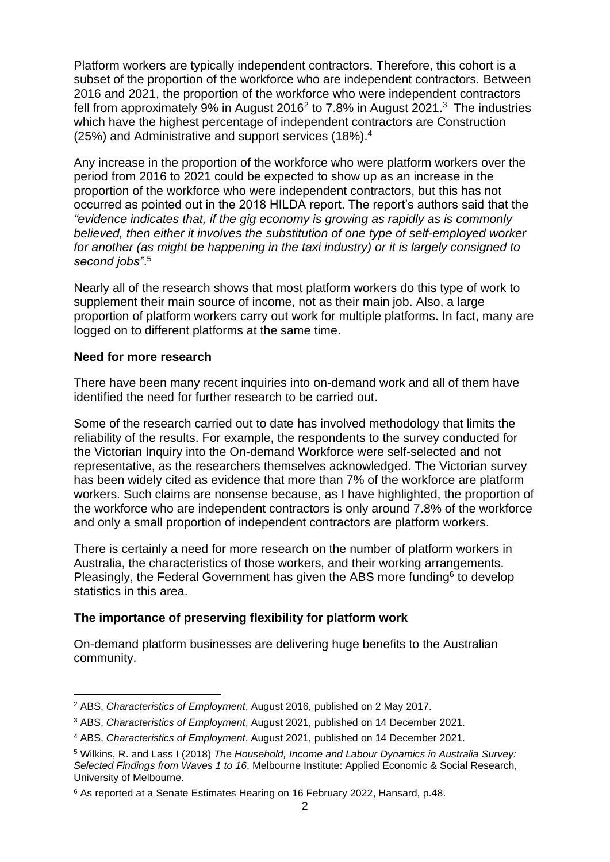Platform workers are typically independent contractors. Therefore, this cohort is a subset of the proportion of the workforce who are independent contractors. Between 2016 and 2021, the proportion of the workforce who were independent contractors fell from approximately 9% in August 2016<sup>2</sup> to 7.8% in August 2021.<sup>3</sup> The industries which have the highest percentage of independent contractors are Construction (25%) and Administrative and support services (18%).<sup>4</sup>

Any increase in the proportion of the workforce who were platform workers over the period from 2016 to 2021 could be expected to show up as an increase in the proportion of the workforce who were independent contractors, but this has not occurred as pointed out in the 2018 HILDA report. The report's authors said that the *"evidence indicates that, if the gig economy is growing as rapidly as is commonly believed, then either it involves the substitution of one type of self-employed worker for another (as might be happening in the taxi industry) or it is largely consigned to second jobs"*. 5

Nearly all of the research shows that most platform workers do this type of work to supplement their main source of income, not as their main job. Also, a large proportion of platform workers carry out work for multiple platforms. In fact, many are logged on to different platforms at the same time.

#### **Need for more research**

There have been many recent inquiries into on-demand work and all of them have identified the need for further research to be carried out.

Some of the research carried out to date has involved methodology that limits the reliability of the results. For example, the respondents to the survey conducted for the Victorian Inquiry into the On-demand Workforce were self-selected and not representative, as the researchers themselves acknowledged. The Victorian survey has been widely cited as evidence that more than 7% of the workforce are platform workers. Such claims are nonsense because, as I have highlighted, the proportion of the workforce who are independent contractors is only around 7.8% of the workforce and only a small proportion of independent contractors are platform workers.

There is certainly a need for more research on the number of platform workers in Australia, the characteristics of those workers, and their working arrangements. Pleasingly, the Federal Government has given the ABS more funding $6$  to develop statistics in this area.

## **The importance of preserving flexibility for platform work**

On-demand platform businesses are delivering huge benefits to the Australian community.

<sup>2</sup> ABS, *Characteristics of Employment*, August 2016, published on 2 May 2017.

<sup>3</sup> ABS, *Characteristics of Employment*, August 2021, published on 14 December 2021.

<sup>4</sup> ABS, *Characteristics of Employment*, August 2021, published on 14 December 2021.

<sup>5</sup> Wilkins, R. and Lass I (2018) *The Household, Income and Labour Dynamics in Australia Survey: Selected Findings from Waves 1 to 16*, Melbourne Institute: Applied Economic & Social Research, University of Melbourne.

<sup>6</sup> As reported at a Senate Estimates Hearing on 16 February 2022, Hansard, p.48.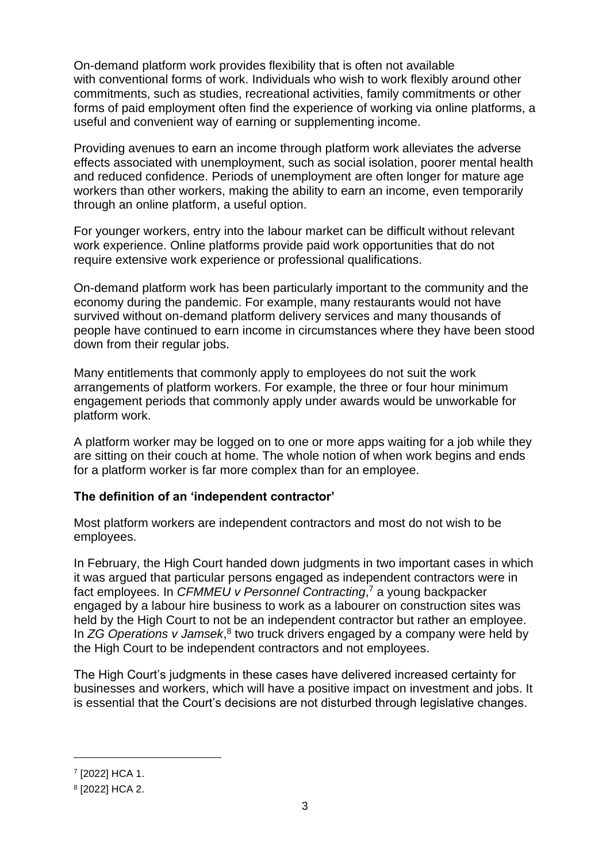On-demand platform work provides flexibility that is often not available with conventional forms of work. Individuals who wish to work flexibly around other commitments, such as studies, recreational activities, family commitments or other forms of paid employment often find the experience of working via online platforms, a useful and convenient way of earning or supplementing income.

Providing avenues to earn an income through platform work alleviates the adverse effects associated with unemployment, such as social isolation, poorer mental health and reduced confidence. Periods of unemployment are often longer for mature age workers than other workers, making the ability to earn an income, even temporarily through an online platform, a useful option.

For younger workers, entry into the labour market can be difficult without relevant work experience. Online platforms provide paid work opportunities that do not require extensive work experience or professional qualifications.

On-demand platform work has been particularly important to the community and the economy during the pandemic. For example, many restaurants would not have survived without on-demand platform delivery services and many thousands of people have continued to earn income in circumstances where they have been stood down from their regular jobs.

Many entitlements that commonly apply to employees do not suit the work arrangements of platform workers. For example, the three or four hour minimum engagement periods that commonly apply under awards would be unworkable for platform work.

A platform worker may be logged on to one or more apps waiting for a job while they are sitting on their couch at home. The whole notion of when work begins and ends for a platform worker is far more complex than for an employee.

#### **The definition of an 'independent contractor'**

Most platform workers are independent contractors and most do not wish to be employees.

In February, the High Court handed down judgments in two important cases in which it was argued that particular persons engaged as independent contractors were in fact employees. In *CFMMEU v Personnel Contracting*, <sup>7</sup> a young backpacker engaged by a labour hire business to work as a labourer on construction sites was held by the High Court to not be an independent contractor but rather an employee. In ZG Operations v Jamsek,<sup>8</sup> two truck drivers engaged by a company were held by the High Court to be independent contractors and not employees.

The High Court's judgments in these cases have delivered increased certainty for businesses and workers, which will have a positive impact on investment and jobs. It is essential that the Court's decisions are not disturbed through legislative changes.

<sup>7</sup> [2022] HCA 1.

<sup>8</sup> [2022] HCA 2.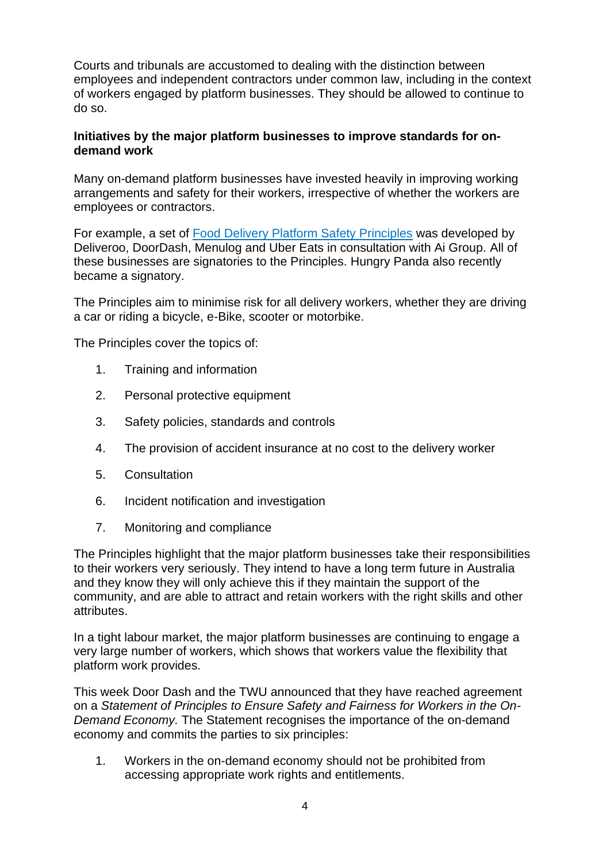Courts and tribunals are accustomed to dealing with the distinction between employees and independent contractors under common law, including in the context of workers engaged by platform businesses. They should be allowed to continue to do so.

## **Initiatives by the major platform businesses to improve standards for ondemand work**

Many on-demand platform businesses have invested heavily in improving working arrangements and safety for their workers, irrespective of whether the workers are employees or contractors.

For example, a set of [Food Delivery Platform Safety Principles](https://www.aigroup.com.au/globalassets/news/policy-papers/2021/updated-national-food-delivery-platform-safety-principles_final.pdf) was developed by Deliveroo, DoorDash, Menulog and Uber Eats in consultation with Ai Group. All of these businesses are signatories to the Principles. Hungry Panda also recently became a signatory.

The Principles aim to minimise risk for all delivery workers, whether they are driving a car or riding a bicycle, e-Bike, scooter or motorbike.

The Principles cover the topics of:

- 1. Training and information
- 2. Personal protective equipment
- 3. Safety policies, standards and controls
- 4. The provision of accident insurance at no cost to the delivery worker
- 5. Consultation
- 6. Incident notification and investigation
- 7. Monitoring and compliance

The Principles highlight that the major platform businesses take their responsibilities to their workers very seriously. They intend to have a long term future in Australia and they know they will only achieve this if they maintain the support of the community, and are able to attract and retain workers with the right skills and other attributes.

In a tight labour market, the major platform businesses are continuing to engage a very large number of workers, which shows that workers value the flexibility that platform work provides.

This week Door Dash and the TWU announced that they have reached agreement on a *Statement of Principles to Ensure Safety and Fairness for Workers in the On-Demand Economy.* The Statement recognises the importance of the on-demand economy and commits the parties to six principles:

1. Workers in the on-demand economy should not be prohibited from accessing appropriate work rights and entitlements.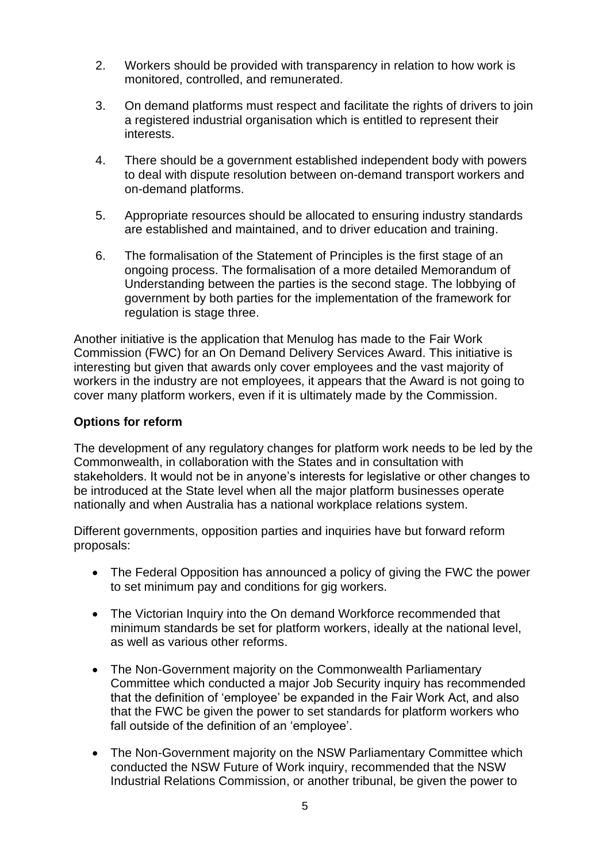- 2. Workers should be provided with transparency in relation to how work is monitored, controlled, and remunerated.
- 3. On demand platforms must respect and facilitate the rights of drivers to join a registered industrial organisation which is entitled to represent their interests.
- 4. There should be a government established independent body with powers to deal with dispute resolution between on-demand transport workers and on-demand platforms.
- 5. Appropriate resources should be allocated to ensuring industry standards are established and maintained, and to driver education and training.
- 6. The formalisation of the Statement of Principles is the first stage of an ongoing process. The formalisation of a more detailed Memorandum of Understanding between the parties is the second stage. The lobbying of government by both parties for the implementation of the framework for regulation is stage three.

Another initiative is the application that Menulog has made to the Fair Work Commission (FWC) for an On Demand Delivery Services Award. This initiative is interesting but given that awards only cover employees and the vast majority of workers in the industry are not employees, it appears that the Award is not going to cover many platform workers, even if it is ultimately made by the Commission.

## **Options for reform**

The development of any regulatory changes for platform work needs to be led by the Commonwealth, in collaboration with the States and in consultation with stakeholders. It would not be in anyone's interests for legislative or other changes to be introduced at the State level when all the major platform businesses operate nationally and when Australia has a national workplace relations system.

Different governments, opposition parties and inquiries have but forward reform proposals:

- The Federal Opposition has announced a policy of giving the FWC the power to set minimum pay and conditions for gig workers.
- The Victorian Inquiry into the On demand Workforce recommended that minimum standards be set for platform workers, ideally at the national level, as well as various other reforms.
- The Non-Government majority on the Commonwealth Parliamentary Committee which conducted a major Job Security inquiry has recommended that the definition of 'employee' be expanded in the Fair Work Act, and also that the FWC be given the power to set standards for platform workers who fall outside of the definition of an 'employee'.
- The Non-Government majority on the NSW Parliamentary Committee which conducted the NSW Future of Work inquiry, recommended that the NSW Industrial Relations Commission, or another tribunal, be given the power to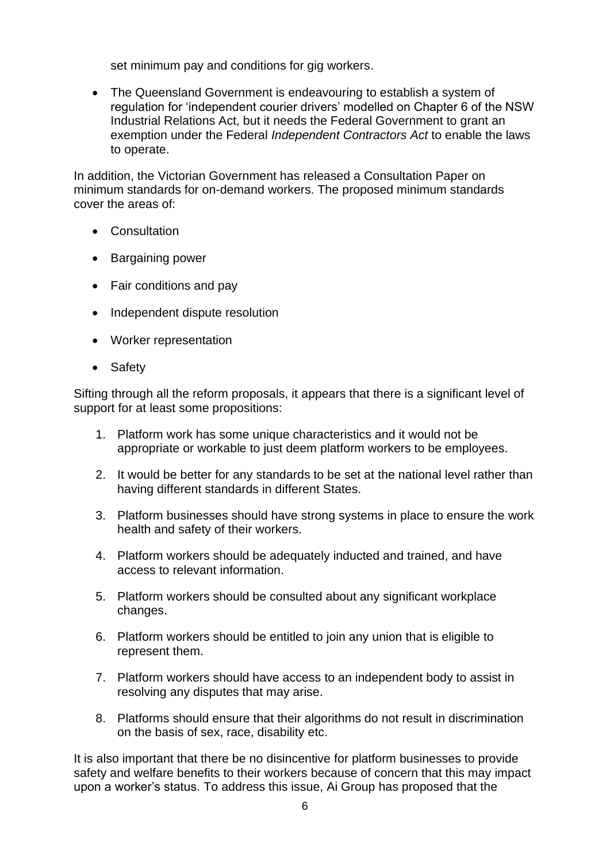set minimum pay and conditions for gig workers.

• The Queensland Government is endeavouring to establish a system of regulation for 'independent courier drivers' modelled on Chapter 6 of the NSW Industrial Relations Act, but it needs the Federal Government to grant an exemption under the Federal *Independent Contractors Act* to enable the laws to operate.

In addition, the Victorian Government has released a Consultation Paper on minimum standards for on-demand workers. The proposed minimum standards cover the areas of:

- Consultation
- Bargaining power
- Fair conditions and pay
- Independent dispute resolution
- Worker representation
- Safety

Sifting through all the reform proposals, it appears that there is a significant level of support for at least some propositions:

- 1. Platform work has some unique characteristics and it would not be appropriate or workable to just deem platform workers to be employees.
- 2. It would be better for any standards to be set at the national level rather than having different standards in different States.
- 3. Platform businesses should have strong systems in place to ensure the work health and safety of their workers.
- 4. Platform workers should be adequately inducted and trained, and have access to relevant information.
- 5. Platform workers should be consulted about any significant workplace changes.
- 6. Platform workers should be entitled to join any union that is eligible to represent them.
- 7. Platform workers should have access to an independent body to assist in resolving any disputes that may arise.
- 8. Platforms should ensure that their algorithms do not result in discrimination on the basis of sex, race, disability etc.

It is also important that there be no disincentive for platform businesses to provide safety and welfare benefits to their workers because of concern that this may impact upon a worker's status. To address this issue, Ai Group has proposed that the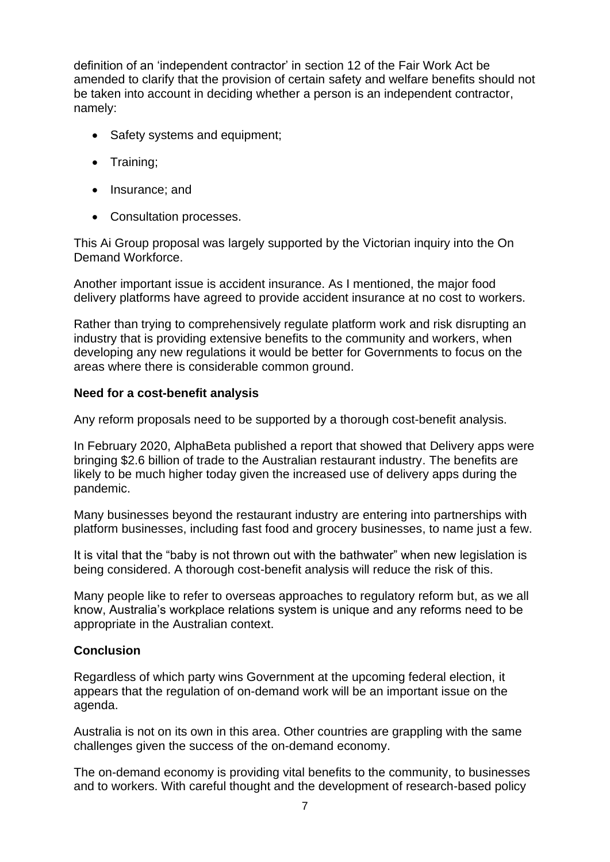definition of an 'independent contractor' in section 12 of the Fair Work Act be amended to clarify that the provision of certain safety and welfare benefits should not be taken into account in deciding whether a person is an independent contractor, namely:

- Safety systems and equipment;
- Training;
- Insurance; and
- Consultation processes.

This Ai Group proposal was largely supported by the Victorian inquiry into the On Demand Workforce.

Another important issue is accident insurance. As I mentioned, the major food delivery platforms have agreed to provide accident insurance at no cost to workers.

Rather than trying to comprehensively regulate platform work and risk disrupting an industry that is providing extensive benefits to the community and workers, when developing any new regulations it would be better for Governments to focus on the areas where there is considerable common ground.

#### **Need for a cost-benefit analysis**

Any reform proposals need to be supported by a thorough cost-benefit analysis.

In February 2020, AlphaBeta published a report that showed that Delivery apps were bringing \$2.6 billion of trade to the Australian restaurant industry. The benefits are likely to be much higher today given the increased use of delivery apps during the pandemic.

Many businesses beyond the restaurant industry are entering into partnerships with platform businesses, including fast food and grocery businesses, to name just a few.

It is vital that the "baby is not thrown out with the bathwater" when new legislation is being considered. A thorough cost-benefit analysis will reduce the risk of this.

Many people like to refer to overseas approaches to regulatory reform but, as we all know, Australia's workplace relations system is unique and any reforms need to be appropriate in the Australian context.

#### **Conclusion**

Regardless of which party wins Government at the upcoming federal election, it appears that the regulation of on-demand work will be an important issue on the agenda.

Australia is not on its own in this area. Other countries are grappling with the same challenges given the success of the on-demand economy.

The on-demand economy is providing vital benefits to the community, to businesses and to workers. With careful thought and the development of research-based policy